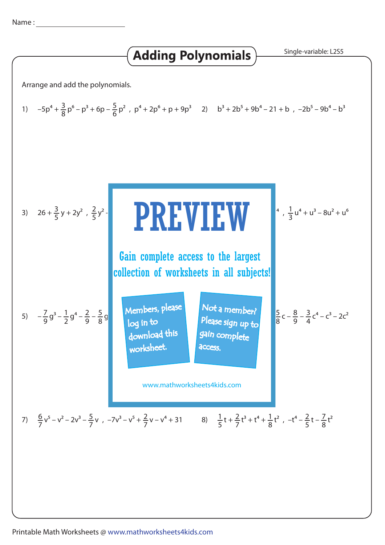